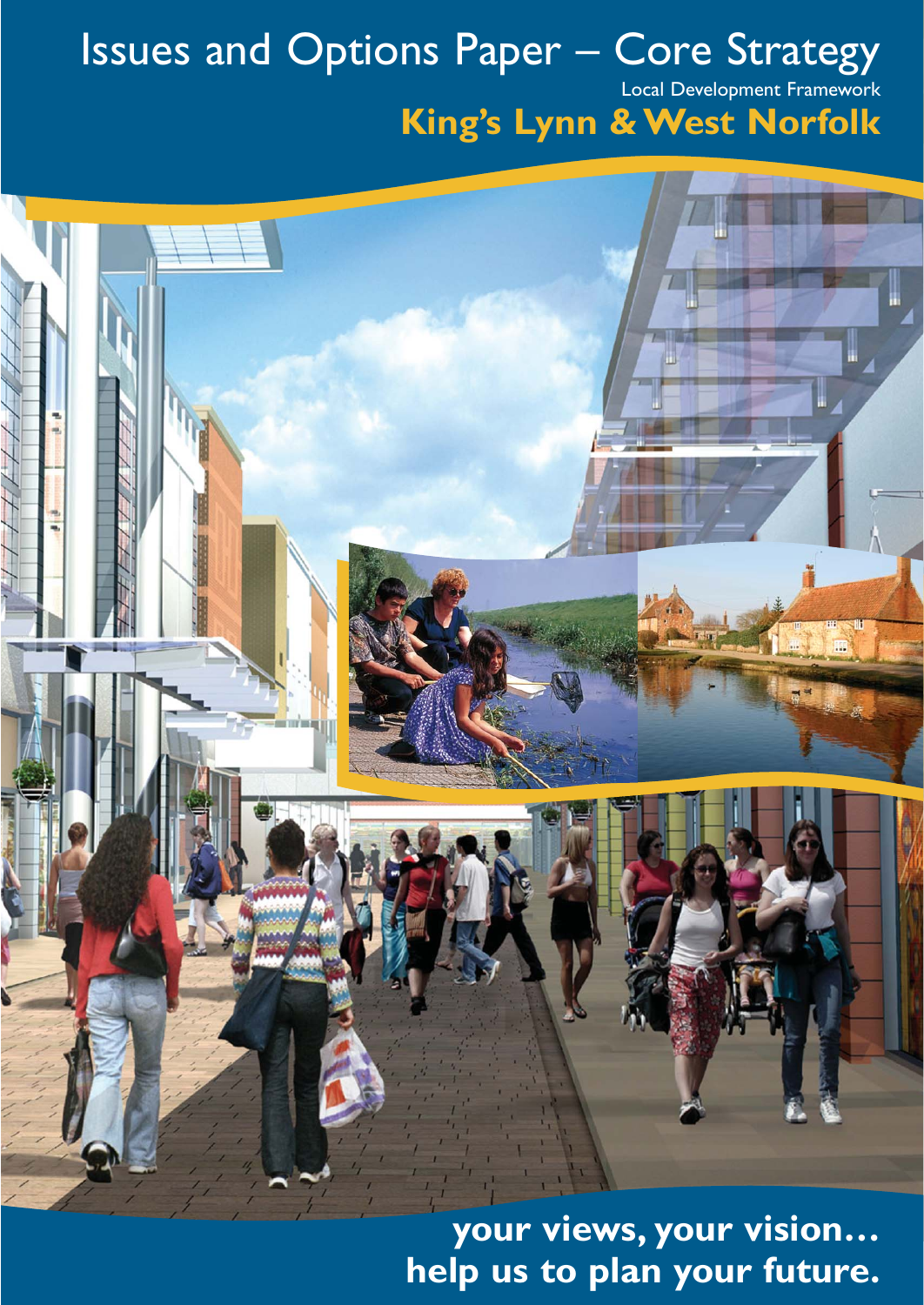# Issues and Options Paper – Core Strategy

Local Development Framework

## **King's Lynn & West Norfolk**

**your views, your vision… help us to plan your future.**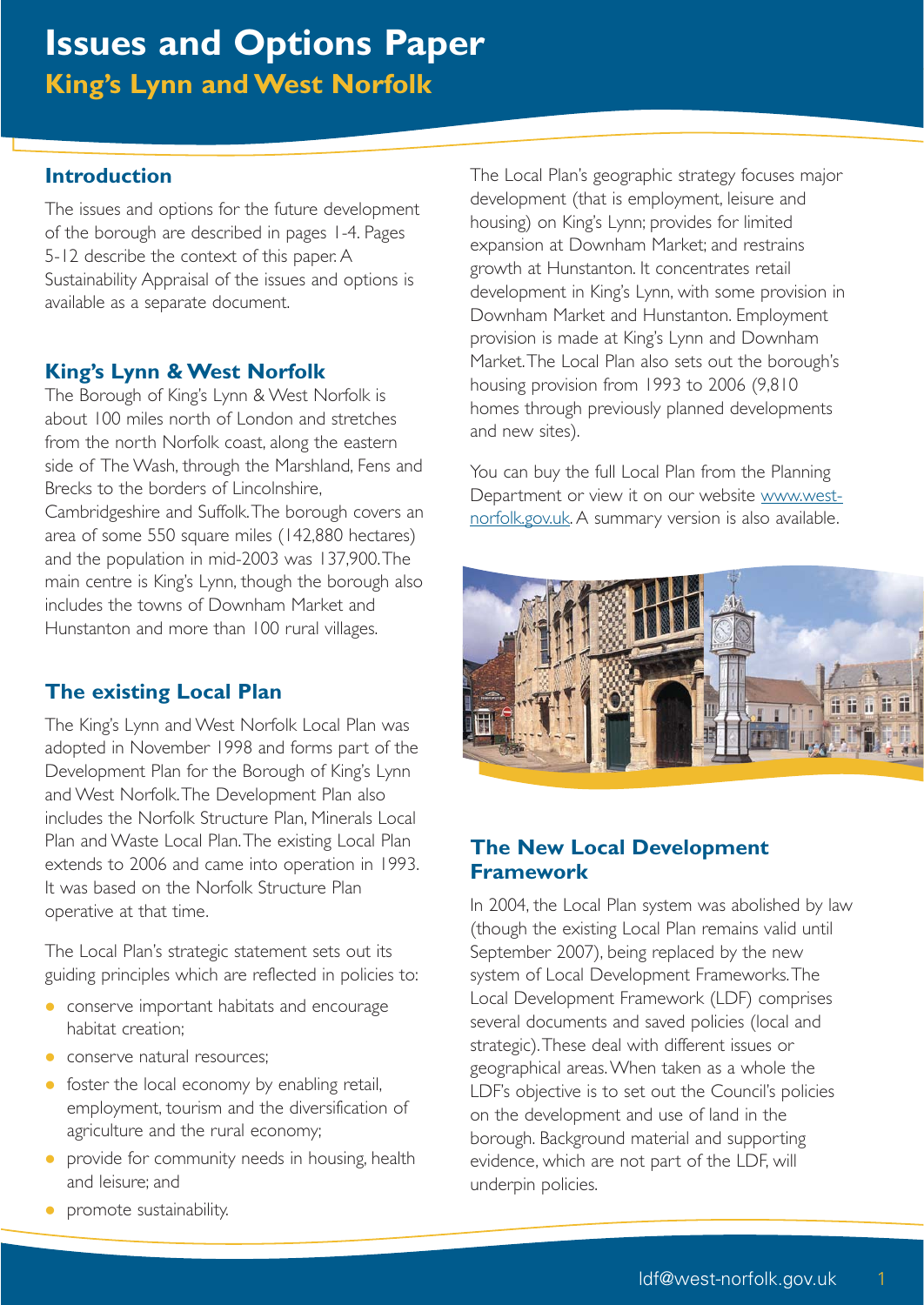#### **Introduction**

The issues and options for the future development of the borough are described in pages 1-4. Pages 5-12 describe the context of this paper. A Sustainability Appraisal of the issues and options is available as a separate document.

#### **King's Lynn & West Norfolk**

The Borough of King's Lynn & West Norfolk is about 100 miles north of London and stretches from the north Norfolk coast, along the eastern side of The Wash, through the Marshland, Fens and Brecks to the borders of Lincolnshire,

Cambridgeshire and Suffolk.The borough covers an area of some 550 square miles (142,880 hectares) and the population in mid-2003 was 137,900.The main centre is King's Lynn, though the borough also includes the towns of Downham Market and Hunstanton and more than 100 rural villages.

#### **The existing Local Plan**

The King's Lynn and West Norfolk Local Plan was adopted in November 1998 and forms part of the Development Plan for the Borough of King's Lynn and West Norfolk.The Development Plan also includes the Norfolk Structure Plan, Minerals Local Plan and Waste Local Plan.The existing Local Plan extends to 2006 and came into operation in 1993. It was based on the Norfolk Structure Plan operative at that time.

The Local Plan's strategic statement sets out its guiding principles which are reflected in policies to:

- **•** conserve important habitats and encourage habitat creation;
- **conserve natural resources:**
- foster the local economy by enabling retail, employment, tourism and the diversification of agriculture and the rural economy;
- **•** provide for community needs in housing, health and leisure; and

The Local Plan's geographic strategy focuses major development (that is employment, leisure and housing) on King's Lynn; provides for limited expansion at Downham Market; and restrains growth at Hunstanton. It concentrates retail development in King's Lynn, with some provision in Downham Market and Hunstanton. Employment provision is made at King's Lynn and Downham Market.The Local Plan also sets out the borough's housing provision from 1993 to 2006 (9,810 homes through previously planned developments and new sites).

You can buy the full Local Plan from the Planning Department or view it on our website www.westnorfolk.gov.uk. A summary version is also available.



#### **The New Local Development Framework**

In 2004, the Local Plan system was abolished by law (though the existing Local Plan remains valid until September 2007), being replaced by the new system of Local Development Frameworks.The Local Development Framework (LDF) comprises several documents and saved policies (local and strategic).These deal with different issues or geographical areas.When taken as a whole the LDF's objective is to set out the Council's policies on the development and use of land in the borough. Background material and supporting evidence, which are not part of the LDF, will underpin policies.

**•** promote sustainability.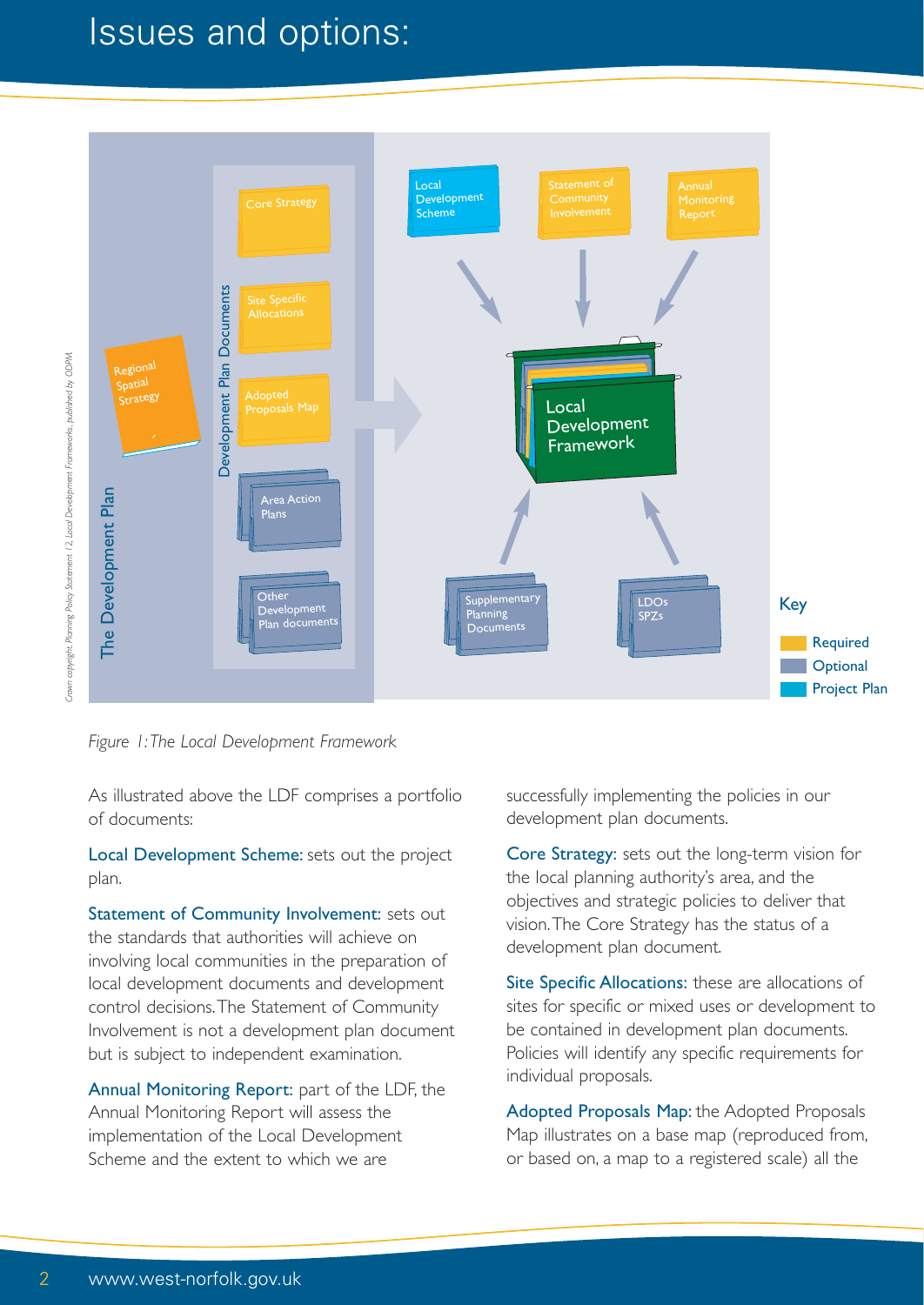### Issues and options:



*Figure 1:The Local Development Framework*

As illustrated above the LDF comprises a portfolio of documents:

Local Development Scheme: sets out the project plan.

Statement of Community Involvement: sets out the standards that authorities will achieve on involving local communities in the preparation of local development documents and development control decisions.The Statement of Community Involvement is not a development plan document but is subject to independent examination.

Annual Monitoring Report: part of the LDF, the Annual Monitoring Report will assess the implementation of the Local Development Scheme and the extent to which we are

successfully implementing the policies in our development plan documents.

Core Strategy: sets out the long-term vision for the local planning authority's area, and the objectives and strategic policies to deliver that vision.The Core Strategy has the status of a development plan document.

Site Specific Allocations: these are allocations of sites for specific or mixed uses or development to be contained in development plan documents. Policies will identify any specific requirements for individual proposals.

Adopted Proposals Map: the Adopted Proposals Map illustrates on a base map (reproduced from, or based on, a map to a registered scale) all the

Crown copyright. Planning Policy Statement 12, Local Development Frameworks, published by ODPM. *Crown copyright. Planning Policy Statement 12, Local Development Frameworks, published by ODPM.*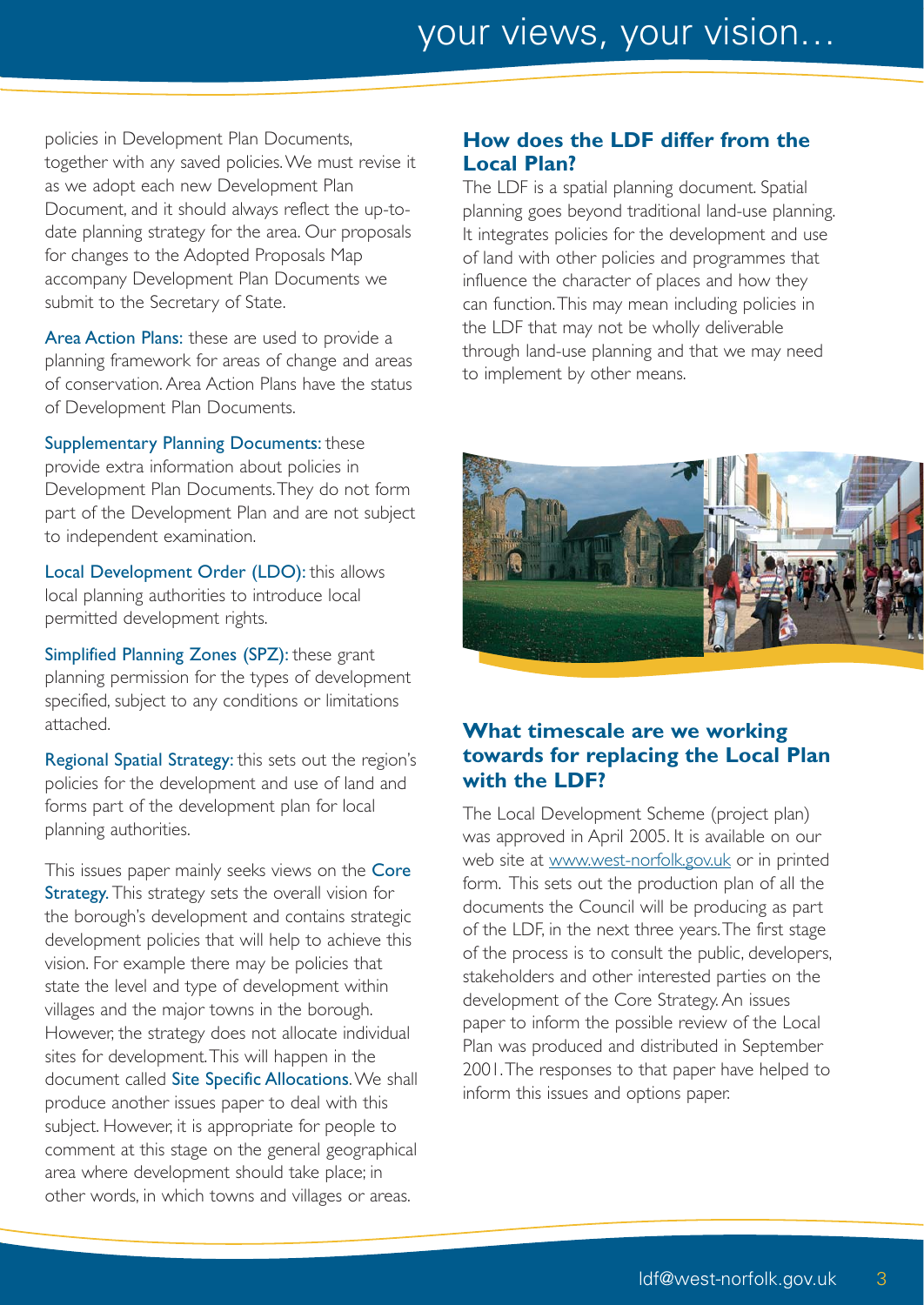policies in Development Plan Documents, together with any saved policies.We must revise it as we adopt each new Development Plan Document, and it should always reflect the up-todate planning strategy for the area. Our proposals for changes to the Adopted Proposals Map accompany Development Plan Documents we submit to the Secretary of State.

Area Action Plans: these are used to provide a planning framework for areas of change and areas of conservation. Area Action Plans have the status of Development Plan Documents.

Supplementary Planning Documents: these provide extra information about policies in Development Plan Documents.They do not form part of the Development Plan and are not subject to independent examination.

Local Development Order (LDO): this allows local planning authorities to introduce local permitted development rights.

Simplified Planning Zones (SPZ): these grant planning permission for the types of development specified, subject to any conditions or limitations attached.

Regional Spatial Strategy: this sets out the region's policies for the development and use of land and forms part of the development plan for local planning authorities.

This issues paper mainly seeks views on the Core Strategy. This strategy sets the overall vision for the borough's development and contains strategic development policies that will help to achieve this vision. For example there may be policies that state the level and type of development within villages and the major towns in the borough. However, the strategy does not allocate individual sites for development.This will happen in the document called Site Specific Allocations. We shall produce another issues paper to deal with this subject. However, it is appropriate for people to comment at this stage on the general geographical area where development should take place; in other words, in which towns and villages or areas.

#### **How does the LDF differ from the Local Plan?**

The LDF is a spatial planning document. Spatial planning goes beyond traditional land-use planning. It integrates policies for the development and use of land with other policies and programmes that influence the character of places and how they can function.This may mean including policies in the LDF that may not be wholly deliverable through land-use planning and that we may need to implement by other means.



#### **What timescale are we working towards for replacing the Local Plan with the LDF?**

The Local Development Scheme (project plan) was approved in April 2005. It is available on our web site at www.west-norfolk.gov.uk or in printed form. This sets out the production plan of all the documents the Council will be producing as part of the LDF, in the next three years.The first stage of the process is to consult the public, developers, stakeholders and other interested parties on the development of the Core Strategy. An issues paper to inform the possible review of the Local Plan was produced and distributed in September 2001.The responses to that paper have helped to inform this issues and options paper.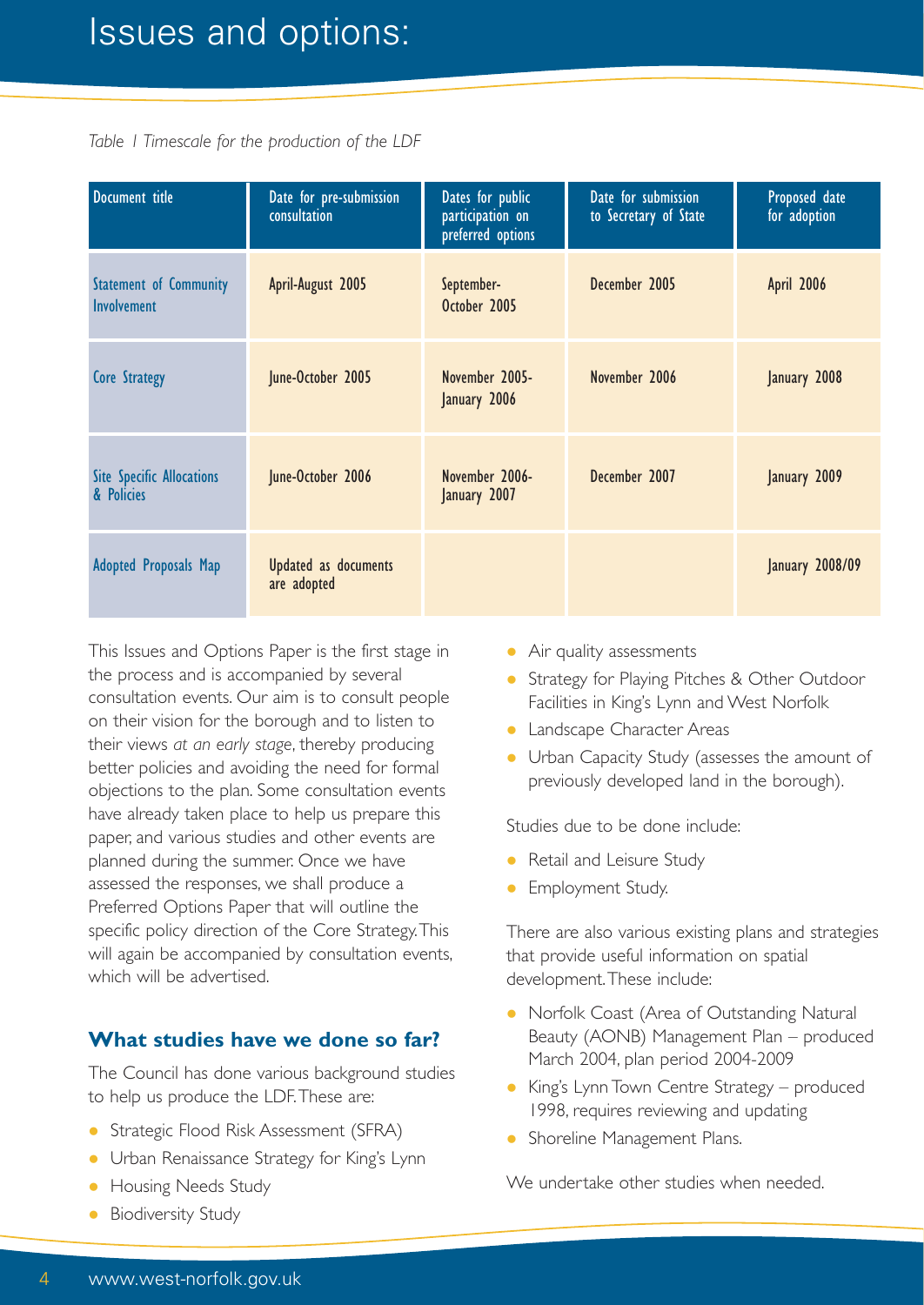### Issues and options:

*Table 1 Timescale for the production of the LDF*

| Document title                                      | Date for pre-submission<br>consultation | Dates for public<br>participation on<br>preferred options | Date for submission<br>to Secretary of State | Proposed date<br>for adoption |
|-----------------------------------------------------|-----------------------------------------|-----------------------------------------------------------|----------------------------------------------|-------------------------------|
| <b>Statement of Community</b><br><b>Involvement</b> | April-August 2005                       | September-<br>October 2005                                | December 2005                                | April 2006                    |
| Core Strategy                                       | June-October 2005                       | November 2005-<br>January 2006                            | November 2006                                | January 2008                  |
| <b>Site Specific Allocations</b><br>& Policies      | June-October 2006                       | November 2006-<br>January 2007                            | December 2007                                | January 2009                  |
| <b>Adopted Proposals Map</b>                        | Updated as documents<br>are adopted     |                                                           |                                              | <b>January 2008/09</b>        |

This Issues and Options Paper is the first stage in the process and is accompanied by several consultation events. Our aim is to consult people on their vision for the borough and to listen to their views *at an early stage*, thereby producing better policies and avoiding the need for formal objections to the plan. Some consultation events have already taken place to help us prepare this paper, and various studies and other events are planned during the summer. Once we have assessed the responses, we shall produce a Preferred Options Paper that will outline the specific policy direction of the Core Strategy.This will again be accompanied by consultation events, which will be advertised.

#### **What studies have we done so far?**

The Council has done various background studies to help us produce the LDF.These are:

- **Strategic Flood Risk Assessment (SFRA)**
- Urban Renaissance Strategy for King's Lynn
- Housing Needs Study
- Biodiversity Study
- Air quality assessments
- Strategy for Playing Pitches & Other Outdoor Facilities in King's Lynn and West Norfolk
- **Landscape Character Areas**
- Urban Capacity Study (assesses the amount of previously developed land in the borough).

Studies due to be done include:

- Retail and Leisure Study
- **•** Employment Study.

There are also various existing plans and strategies that provide useful information on spatial development.These include:

- Norfolk Coast (Area of Outstanding Natural Beauty (AONB) Management Plan – produced March 2004, plan period 2004-2009
- King's Lynn Town Centre Strategy produced 1998, requires reviewing and updating
- Shoreline Management Plans.

We undertake other studies when needed.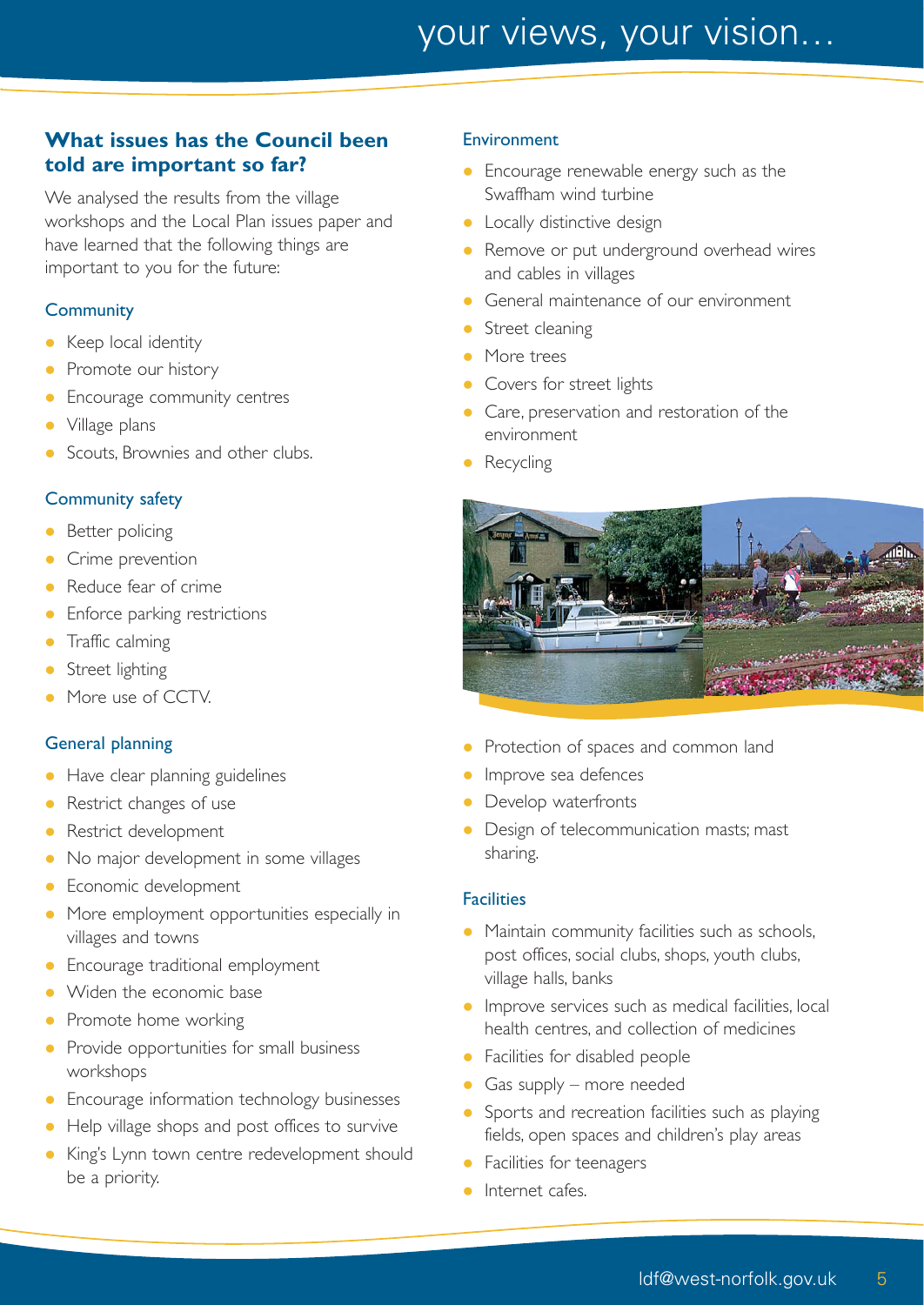## your views, your vision…

#### **What issues has the Council been told are important so far?**

We analysed the results from the village workshops and the Local Plan issues paper and have learned that the following things are important to you for the future:

#### **Community**

- Keep local identity
- Promote our history
- Encourage community centres
- Village plans
- Scouts, Brownies and other clubs.

#### Community safety

- Better policing
- Crime prevention
- Reduce fear of crime
- Enforce parking restrictions
- Traffic calming
- Street lighting
- More use of CCTV.

#### General planning

- Have clear planning guidelines
- Restrict changes of use
- Restrict development
- No major development in some villages
- Economic development
- More employment opportunities especially in villages and towns
- **•** Encourage traditional employment
- Widen the economic base
- Promote home working
- Provide opportunities for small business workshops
- Encourage information technology businesses
- Help village shops and post offices to survive
- King's Lynn town centre redevelopment should be a priority.

#### Environment

- Encourage renewable energy such as the Swaffham wind turbine
- **•** Locally distinctive design
- Remove or put underground overhead wires and cables in villages
- General maintenance of our environment
- Street cleaning
- More trees
- Covers for street lights
- Care, preservation and restoration of the environment
- Recycling



- Protection of spaces and common land
- Improve sea defences
- Develop waterfronts
- Design of telecommunication masts; mast sharing.

#### **Facilities**

- Maintain community facilities such as schools, post offices, social clubs, shops, youth clubs, village halls, banks
- **Improve services such as medical facilities, local** health centres, and collection of medicines
- **•** Facilities for disabled people
- Gas supply more needed
- Sports and recreation facilities such as playing fields, open spaces and children's play areas
- **•** Facilities for teenagers
- Internet cafes.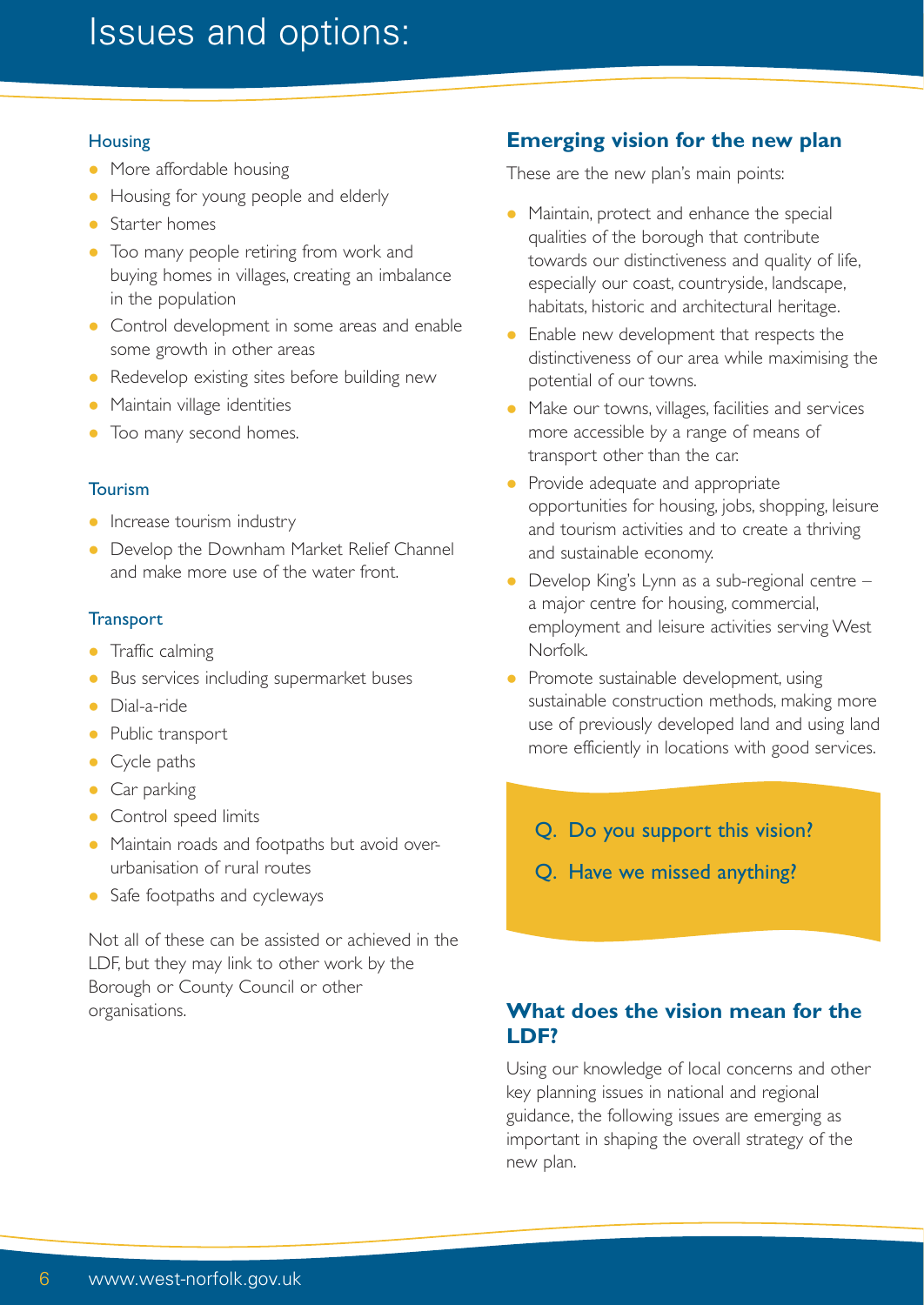### Issues and options:

#### **Housing**

- More affordable housing
- Housing for young people and elderly
- Starter homes
- Too many people retiring from work and buying homes in villages, creating an imbalance in the population
- Control development in some areas and enable some growth in other areas
- Redevelop existing sites before building new
- Maintain village identities
- Too many second homes.

#### Tourism

- Increase tourism industry
- Develop the Downham Market Relief Channel and make more use of the water front.

#### **Transport**

- Traffic calming
- **Bus services including supermarket buses**
- **•** Dial-a-ride
- Public transport
- Cycle paths
- Car parking
- Control speed limits
- Maintain roads and footpaths but avoid overurbanisation of rural routes
- Safe footpaths and cycleways

Not all of these can be assisted or achieved in the LDF, but they may link to other work by the Borough or County Council or other organisations.

#### **Emerging vision for the new plan**

These are the new plan's main points:

- Maintain, protect and enhance the special qualities of the borough that contribute towards our distinctiveness and quality of life, especially our coast, countryside, landscape, habitats, historic and architectural heritage.
- Enable new development that respects the distinctiveness of our area while maximising the potential of our towns.
- Make our towns, villages, facilities and services more accessible by a range of means of transport other than the car.
- Provide adequate and appropriate opportunities for housing, jobs, shopping, leisure and tourism activities and to create a thriving and sustainable economy.
- Develop King's Lynn as a sub-regional centre a major centre for housing, commercial, employment and leisure activities serving West Norfolk.
- Promote sustainable development, using sustainable construction methods, making more use of previously developed land and using land more efficiently in locations with good services.
	- Q. Do you support this vision?
	- Q. Have we missed anything?

#### **What does the vision mean for the LDF?**

Using our knowledge of local concerns and other key planning issues in national and regional guidance, the following issues are emerging as important in shaping the overall strategy of the new plan.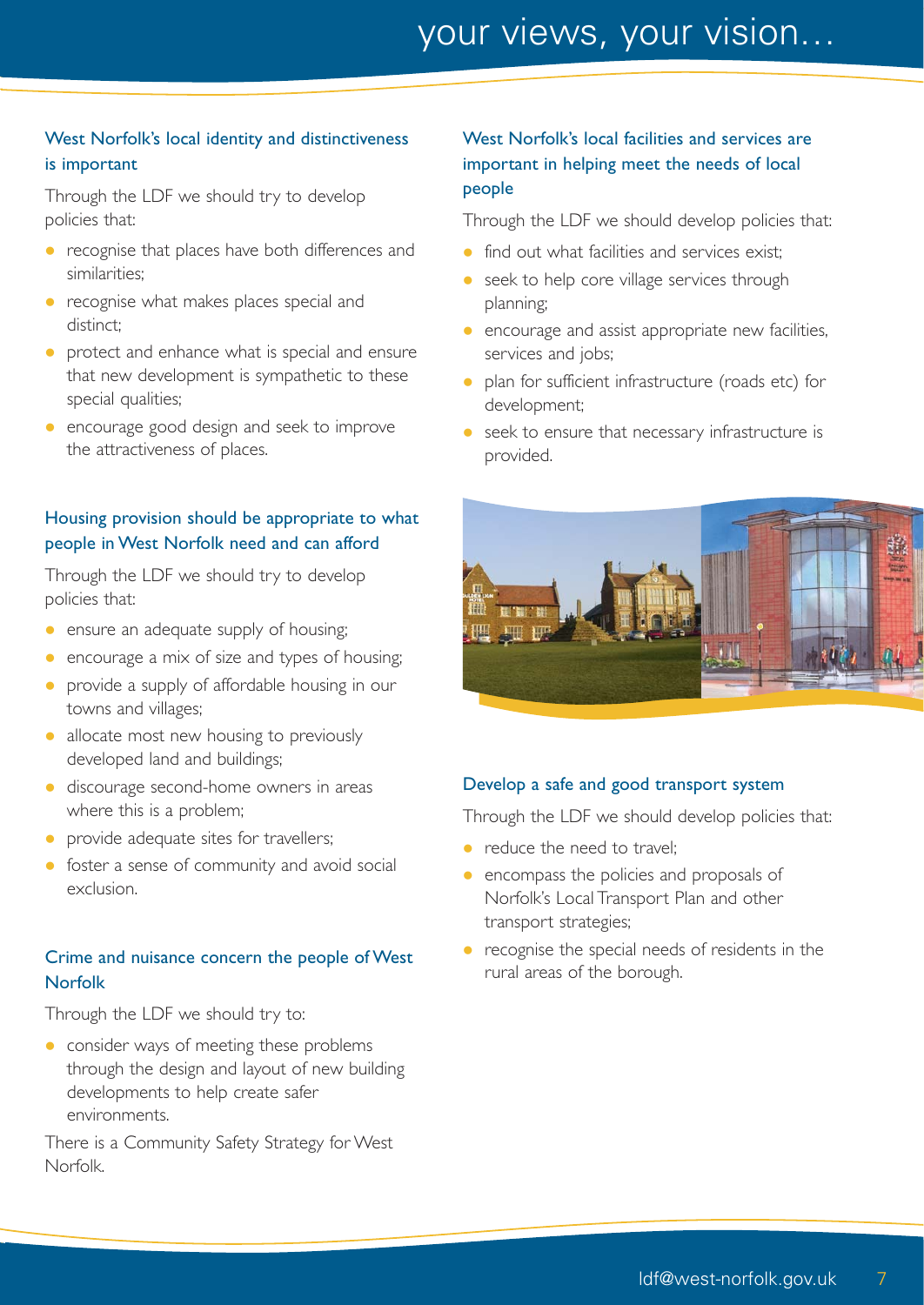#### West Norfolk's local identity and distinctiveness is important

Through the LDF we should try to develop policies that:

- recognise that places have both differences and similarities;
- **•** recognise what makes places special and distinct;
- **•** protect and enhance what is special and ensure that new development is sympathetic to these special qualities;
- **e** encourage good design and seek to improve the attractiveness of places.

#### Housing provision should be appropriate to what people in West Norfolk need and can afford

Through the LDF we should try to develop policies that:

- **•** ensure an adequate supply of housing;
- **e** encourage a mix of size and types of housing;
- **•** provide a supply of affordable housing in our towns and villages;
- allocate most new housing to previously developed land and buildings;
- discourage second-home owners in areas where this is a problem;
- provide adequate sites for travellers;
- **•** foster a sense of community and avoid social exclusion.

#### Crime and nuisance concern the people of West Norfolk

Through the LDF we should try to:

**c** consider ways of meeting these problems through the design and layout of new building developments to help create safer environments.

There is a Community Safety Strategy for West Norfolk.

#### West Norfolk's local facilities and services are important in helping meet the needs of local people

Through the LDF we should develop policies that:

- find out what facilities and services exist;
- seek to help core village services through planning;
- **e** encourage and assist appropriate new facilities, services and jobs;
- plan for sufficient infrastructure (roads etc) for development;
- **•** seek to ensure that necessary infrastructure is provided.



#### Develop a safe and good transport system

Through the LDF we should develop policies that:

- reduce the need to travel:
- encompass the policies and proposals of Norfolk's Local Transport Plan and other transport strategies;
- recognise the special needs of residents in the rural areas of the borough.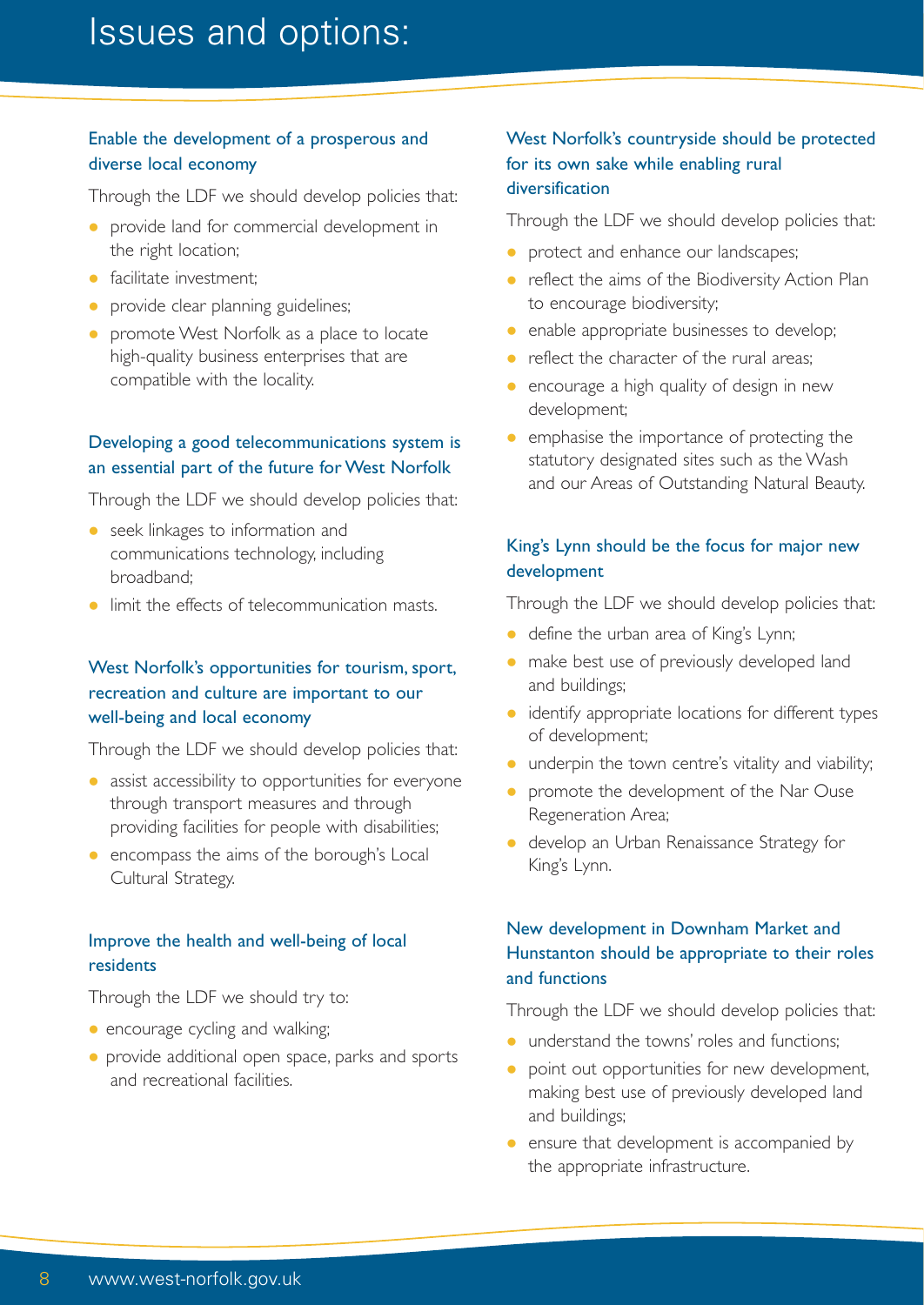#### Enable the development of a prosperous and diverse local economy

Through the LDF we should develop policies that:

- **•** provide land for commercial development in the right location;
- **•** facilitate investment:
- provide clear planning guidelines;
- **•** promote West Norfolk as a place to locate high-quality business enterprises that are compatible with the locality.

#### Developing a good telecommunications system is an essential part of the future for West Norfolk

Through the LDF we should develop policies that:

- **•** seek linkages to information and communications technology, including broadband;
- **I** limit the effects of telecommunication masts.

#### West Norfolk's opportunities for tourism, sport, recreation and culture are important to our well-being and local economy

Through the LDF we should develop policies that:

- assist accessibility to opportunities for everyone through transport measures and through providing facilities for people with disabilities;
- **•** encompass the aims of the borough's Local Cultural Strategy.

#### Improve the health and well-being of local residents

Through the LDF we should try to:

- encourage cycling and walking;
- **•** provide additional open space, parks and sports and recreational facilities.

#### West Norfolk's countryside should be protected for its own sake while enabling rural diversification

Through the LDF we should develop policies that:

- protect and enhance our landscapes;
- **•** reflect the aims of the Biodiversity Action Plan to encourage biodiversity;
- **•** enable appropriate businesses to develop;
- reflect the character of the rural areas;
- **•** encourage a high quality of design in new development;
- **•** emphasise the importance of protecting the statutory designated sites such as the Wash and our Areas of Outstanding Natural Beauty.

#### King's Lynn should be the focus for major new development

Through the LDF we should develop policies that:

- define the urban area of King's Lynn;
- make best use of previously developed land and buildings;
- identify appropriate locations for different types of development;
- underpin the town centre's vitality and viability;
- **•** promote the development of the Nar Ouse Regeneration Area;
- **•** develop an Urban Renaissance Strategy for King's Lynn.

#### New development in Downham Market and Hunstanton should be appropriate to their roles and functions

Through the LDF we should develop policies that:

- **•** understand the towns' roles and functions:
- point out opportunities for new development, making best use of previously developed land and buildings;
- ensure that development is accompanied by the appropriate infrastructure.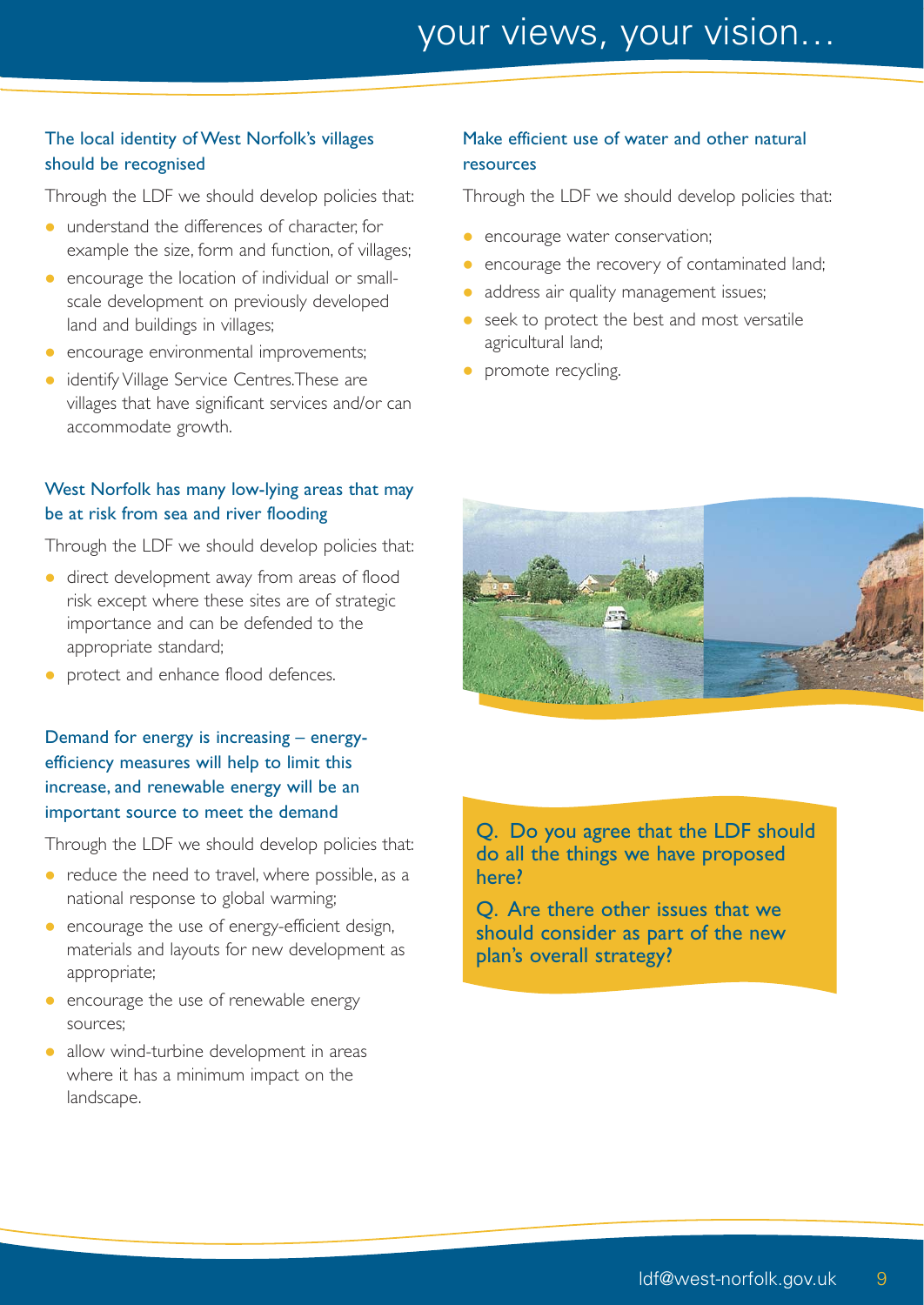#### The local identity of West Norfolk's villages should be recognised

Through the LDF we should develop policies that:

- understand the differences of character, for example the size, form and function, of villages;
- encourage the location of individual or smallscale development on previously developed land and buildings in villages;
- **e** encourage environmental improvements;
- **•** identify Village Service Centres. These are villages that have significant services and/or can accommodate growth.

#### West Norfolk has many low-lying areas that may be at risk from sea and river flooding

Through the LDF we should develop policies that:

- **·** direct development away from areas of flood risk except where these sites are of strategic importance and can be defended to the appropriate standard;
- protect and enhance flood defences.

Demand for energy is increasing – energyefficiency measures will help to limit this increase, and renewable energy will be an important source to meet the demand

Through the LDF we should develop policies that:

- $\bullet$  reduce the need to travel, where possible, as a national response to global warming;
- encourage the use of energy-efficient design, materials and layouts for new development as appropriate;
- encourage the use of renewable energy sources;
- allow wind-turbine development in areas where it has a minimum impact on the landscape.

#### Make efficient use of water and other natural resources

Through the LDF we should develop policies that:

your

- encourage water conservation;
- encourage the recovery of contaminated land;
- address air quality management issues;
- seek to protect the best and most versatile agricultural land;
- promote recycling.



Q. Do you agree that the LDF should do all the things we have proposed here?

Q. Are there other issues that we should consider as part of the new plan's overall strategy?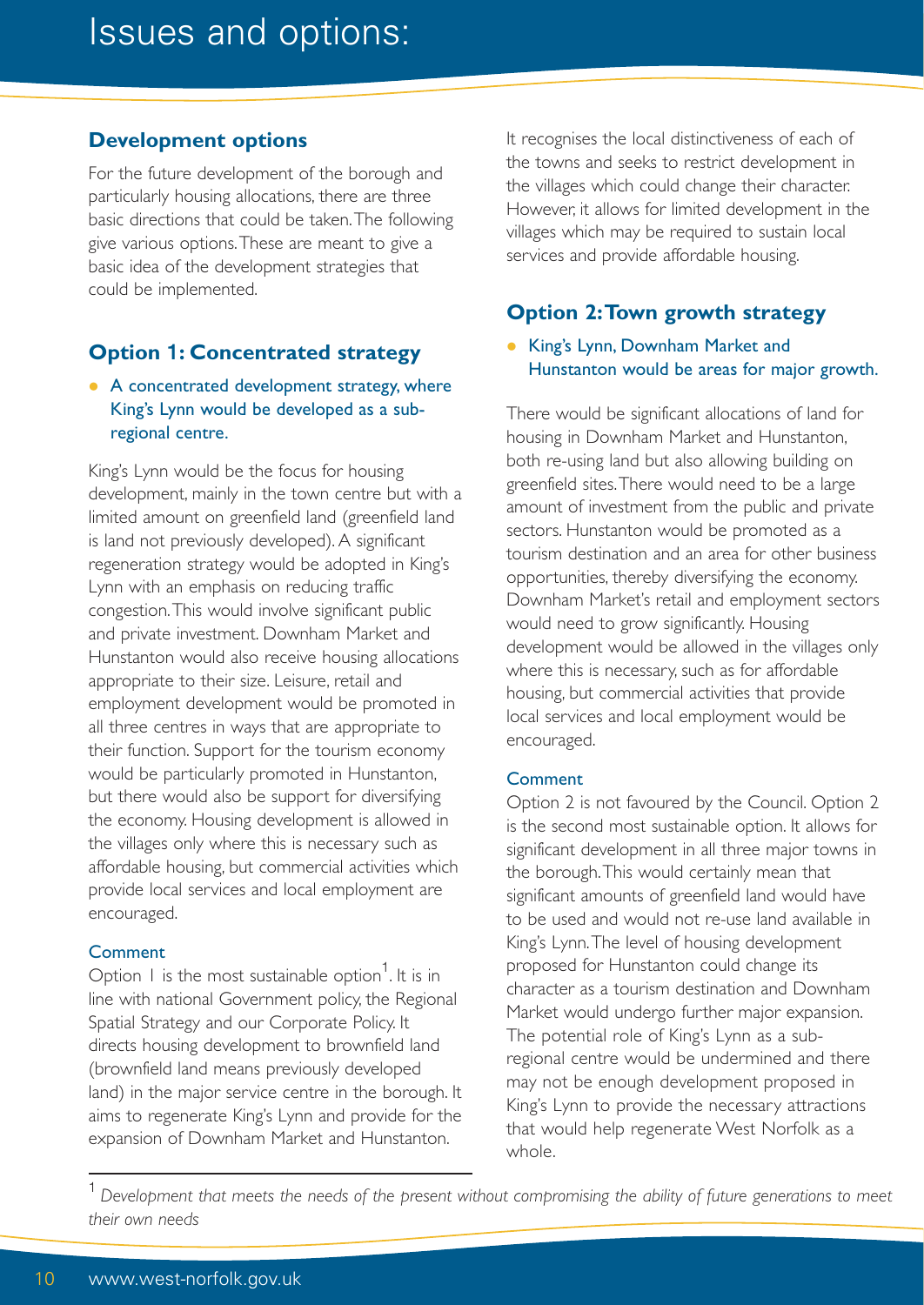#### **Development options**

For the future development of the borough and particularly housing allocations, there are three basic directions that could be taken.The following give various options.These are meant to give a basic idea of the development strategies that could be implemented.

#### **Option 1: Concentrated strategy**

• A concentrated development strategy, where King's Lynn would be developed as a subregional centre.

King's Lynn would be the focus for housing development, mainly in the town centre but with a limited amount on greenfield land (greenfield land is land not previously developed). A significant regeneration strategy would be adopted in King's Lynn with an emphasis on reducing traffic congestion.This would involve significant public and private investment. Downham Market and Hunstanton would also receive housing allocations appropriate to their size. Leisure, retail and employment development would be promoted in all three centres in ways that are appropriate to their function. Support for the tourism economy would be particularly promoted in Hunstanton, but there would also be support for diversifying the economy. Housing development is allowed in the villages only where this is necessary such as affordable housing, but commercial activities which provide local services and local employment are encouraged.

#### Comment

Option 1 is the most sustainable option<sup>1</sup>. It is in line with national Government policy, the Regional Spatial Strategy and our Corporate Policy. It directs housing development to brownfield land (brownfield land means previously developed land) in the major service centre in the borough. It aims to regenerate King's Lynn and provide for the expansion of Downham Market and Hunstanton.

It recognises the local distinctiveness of each of the towns and seeks to restrict development in the villages which could change their character. However, it allows for limited development in the villages which may be required to sustain local services and provide affordable housing.

#### **Option 2:Town growth strategy**

**• King's Lynn, Downham Market and** Hunstanton would be areas for major growth.

There would be significant allocations of land for housing in Downham Market and Hunstanton, both re-using land but also allowing building on greenfield sites.There would need to be a large amount of investment from the public and private sectors. Hunstanton would be promoted as a tourism destination and an area for other business opportunities, thereby diversifying the economy. Downham Market's retail and employment sectors would need to grow significantly. Housing development would be allowed in the villages only where this is necessary, such as for affordable housing, but commercial activities that provide local services and local employment would be encouraged.

#### **Comment**

Option 2 is not favoured by the Council. Option 2 is the second most sustainable option. It allows for significant development in all three major towns in the borough.This would certainly mean that significant amounts of greenfield land would have to be used and would not re-use land available in King's Lynn.The level of housing development proposed for Hunstanton could change its character as a tourism destination and Downham Market would undergo further major expansion. The potential role of King's Lynn as a subregional centre would be undermined and there may not be enough development proposed in King's Lynn to provide the necessary attractions that would help regenerate West Norfolk as a whole.

<sup>1</sup>*Development that meets the needs of the present without compromising the ability of future generations to meet their own needs*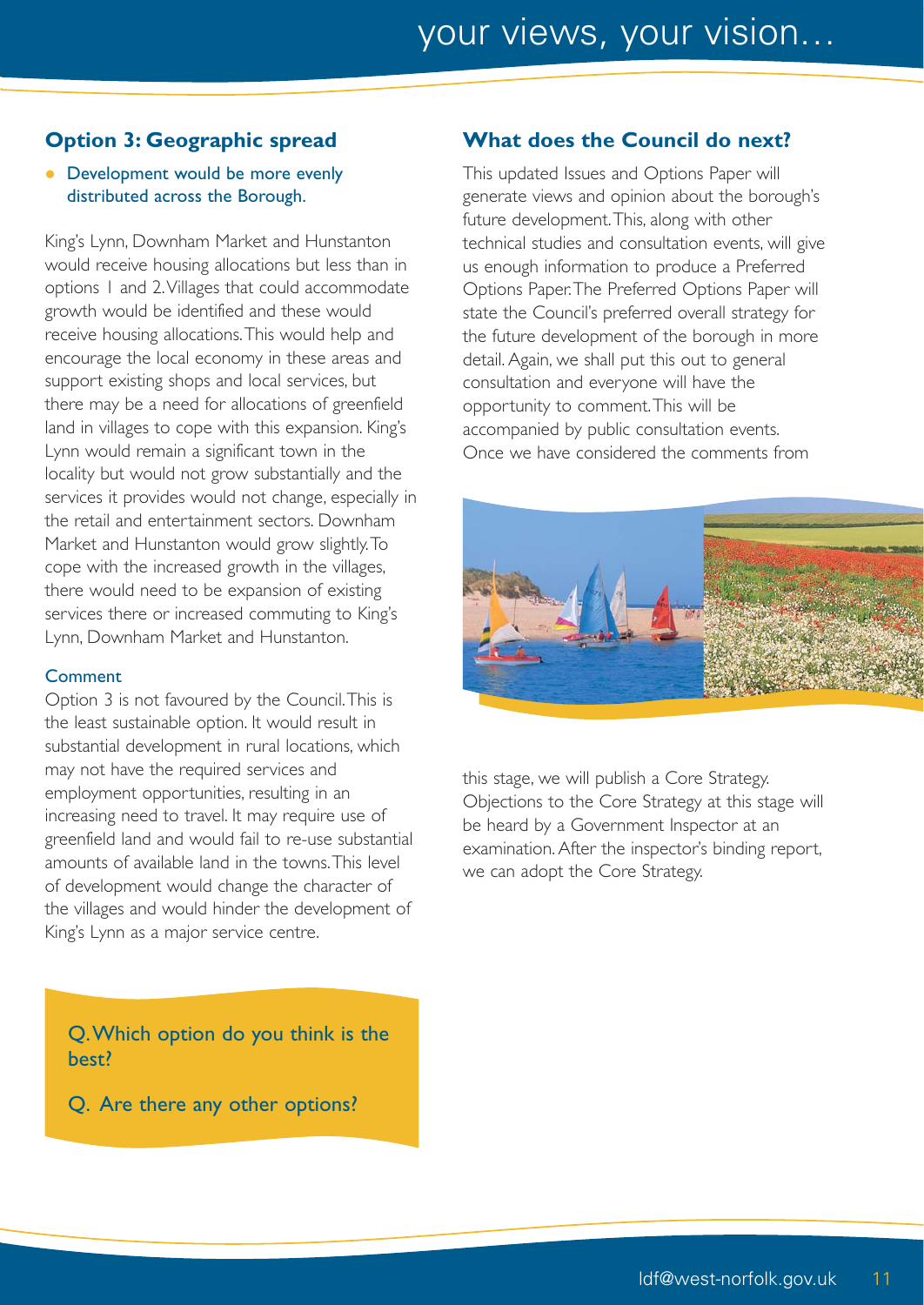#### **Option 3: Geographic spread**

• Development would be more evenly distributed across the Borough.

King's Lynn, Downham Market and Hunstanton would receive housing allocations but less than in options 1 and 2.Villages that could accommodate growth would be identified and these would receive housing allocations.This would help and encourage the local economy in these areas and support existing shops and local services, but there may be a need for allocations of greenfield land in villages to cope with this expansion. King's Lynn would remain a significant town in the locality but would not grow substantially and the services it provides would not change, especially in the retail and entertainment sectors. Downham Market and Hunstanton would grow slightly.To cope with the increased growth in the villages, there would need to be expansion of existing services there or increased commuting to King's Lynn, Downham Market and Hunstanton.

#### **Comment**

Option 3 is not favoured by the Council.This is the least sustainable option. It would result in substantial development in rural locations, which may not have the required services and employment opportunities, resulting in an increasing need to travel. It may require use of greenfield land and would fail to re-use substantial amounts of available land in the towns.This level of development would change the character of the villages and would hinder the development of King's Lynn as a major service centre.

Q.Which option do you think is the best?

Q. Are there any other options?

#### **What does the Council do next?**

This updated Issues and Options Paper will generate views and opinion about the borough's future development.This, along with other technical studies and consultation events, will give us enough information to produce a Preferred Options Paper.The Preferred Options Paper will state the Council's preferred overall strategy for the future development of the borough in more detail. Again, we shall put this out to general consultation and everyone will have the opportunity to comment.This will be accompanied by public consultation events. Once we have considered the comments from



this stage, we will publish a Core Strategy. Objections to the Core Strategy at this stage will be heard by a Government Inspector at an examination. After the inspector's binding report, we can adopt the Core Strategy.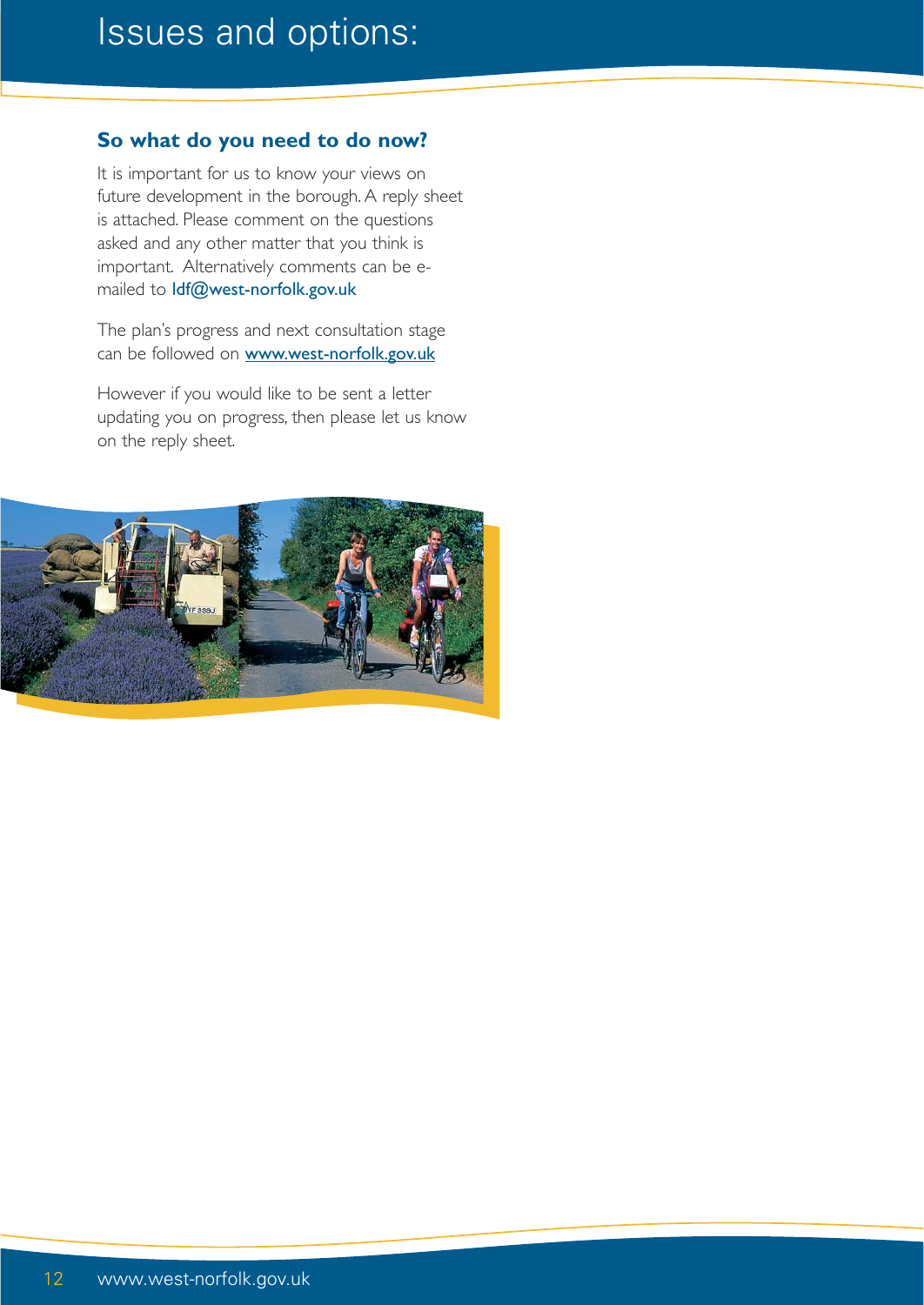#### **So what do you need to do now?**

It is important for us to know your views on future development in the borough. A reply sheet is attached. Please comment on the questions asked and any other matter that you think is important. Alternatively comments can be emailed to ldf@west-norfolk.gov.uk

The plan's progress and next consultation stage can be followed on www.west-norfolk.gov.uk

However if you would like to be sent a letter updating you on progress, then please let us know on the reply sheet.